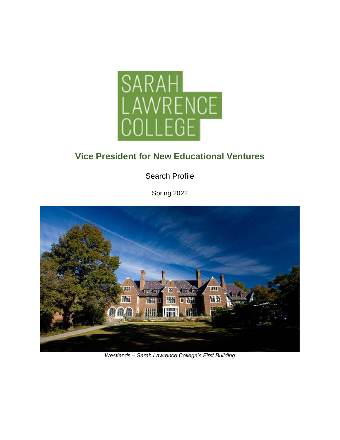

# **Vice President for New Educational Ventures**

Search Profile

Spring 2022



*Westlands – Sarah Lawrence College's First Building*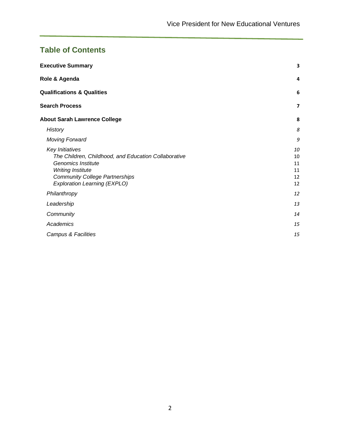## **Table of Contents**

| <b>Executive Summary</b>                                                                                                                                                                                         | 3                                |
|------------------------------------------------------------------------------------------------------------------------------------------------------------------------------------------------------------------|----------------------------------|
| Role & Agenda                                                                                                                                                                                                    | 4                                |
| <b>Qualifications &amp; Qualities</b>                                                                                                                                                                            | 6                                |
| <b>Search Process</b>                                                                                                                                                                                            | $\overline{ }$                   |
| <b>About Sarah Lawrence College</b>                                                                                                                                                                              | 8                                |
| <b>History</b>                                                                                                                                                                                                   | 8                                |
| <b>Moving Forward</b>                                                                                                                                                                                            | 9                                |
| Key Initiatives<br>The Children, Childhood, and Education Collaborative<br><b>Genomics Institute</b><br><b>Writing Institute</b><br><b>Community College Partnerships</b><br><b>Exploration Learning (EXPLO)</b> | 10<br>10<br>11<br>11<br>12<br>12 |
| Philanthropy                                                                                                                                                                                                     | 12                               |
| Leadership                                                                                                                                                                                                       | 13                               |
| Community                                                                                                                                                                                                        | 14                               |
| Academics                                                                                                                                                                                                        | 15                               |
| Campus & Facilities                                                                                                                                                                                              | 15                               |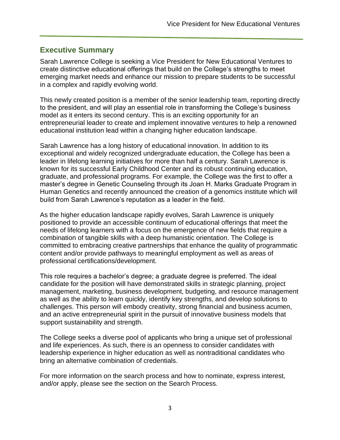## <span id="page-2-0"></span>**Executive Summary**

Sarah Lawrence College is seeking a Vice President for New Educational Ventures to create distinctive educational offerings that build on the College's strengths to meet emerging market needs and enhance our mission to prepare students to be successful in a complex and rapidly evolving world.

This newly created position is a member of the senior leadership team, reporting directly to the president, and will play an essential role in transforming the College's business model as it enters its second century. This is an exciting opportunity for an entrepreneurial leader to create and implement innovative ventures to help a renowned educational institution lead within a changing higher education landscape.

Sarah Lawrence has a long history of educational innovation. In addition to its exceptional and widely recognized undergraduate education, the College has been a leader in lifelong learning initiatives for more than half a century. Sarah Lawrence is known for its successful Early Childhood Center and its robust continuing education, graduate, and professional programs. For example, the College was the first to offer a master's degree in Genetic Counseling through its Joan H. Marks Graduate Program in Human Genetics and recently announced the creation of a genomics institute which will build from Sarah Lawrence's reputation as a leader in the field.

As the higher education landscape rapidly evolves, Sarah Lawrence is uniquely positioned to provide an accessible continuum of educational offerings that meet the needs of lifelong learners with a focus on the emergence of new fields that require a combination of tangible skills with a deep humanistic orientation. The College is committed to embracing creative partnerships that enhance the quality of programmatic content and/or provide pathways to meaningful employment as well as areas of professional certifications/development.

This role requires a bachelor's degree; a graduate degree is preferred. The ideal candidate for the position will have demonstrated skills in strategic planning, project management, marketing, business development, budgeting, and resource management as well as the ability to learn quickly, identify key strengths, and develop solutions to challenges. This person will embody creativity, strong financial and business acumen, and an active entrepreneurial spirit in the pursuit of innovative business models that support sustainability and strength.

The College seeks a diverse pool of applicants who bring a unique set of professional and life experiences. As such, there is an openness to consider candidates with leadership experience in higher education as well as nontraditional candidates who bring an alternative combination of credentials.

For more information on the search process and how to nominate, express interest, and/or apply, please see the section on the Search Process.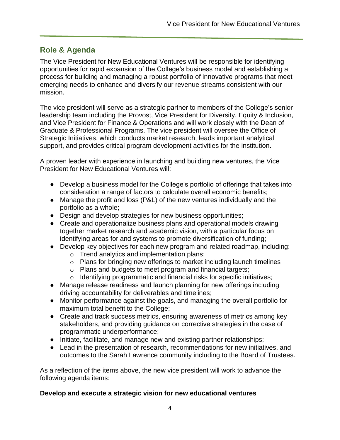## <span id="page-3-0"></span>**Role & Agenda**

The Vice President for New Educational Ventures will be responsible for identifying opportunities for rapid expansion of the College's business model and establishing a process for building and managing a robust portfolio of innovative programs that meet emerging needs to enhance and diversify our revenue streams consistent with our mission.

The vice president will serve as a strategic partner to members of the College's senior leadership team including the Provost, Vice President for Diversity, Equity & Inclusion, and Vice President for Finance & Operations and will work closely with the Dean of Graduate & Professional Programs. The vice president will oversee the Office of Strategic Initiatives, which conducts market research, leads important analytical support, and provides critical program development activities for the institution.

A proven leader with experience in launching and building new ventures, the Vice President for New Educational Ventures will:

- Develop a business model for the College's portfolio of offerings that takes into consideration a range of factors to calculate overall economic benefits;
- Manage the profit and loss (P&L) of the new ventures individually and the portfolio as a whole;
- Design and develop strategies for new business opportunities;
- Create and operationalize business plans and operational models drawing together market research and academic vision, with a particular focus on identifying areas for and systems to promote diversification of funding;
- Develop key objectives for each new program and related roadmap, including:
	- o Trend analytics and implementation plans;
	- o Plans for bringing new offerings to market including launch timelines
	- o Plans and budgets to meet program and financial targets;
	- o Identifying programmatic and financial risks for specific initiatives;
- Manage release readiness and launch planning for new offerings including driving accountability for deliverables and timelines;
- Monitor performance against the goals, and managing the overall portfolio for maximum total benefit to the College;
- Create and track success metrics, ensuring awareness of metrics among key stakeholders, and providing guidance on corrective strategies in the case of programmatic underperformance;
- Initiate, facilitate, and manage new and existing partner relationships;
- Lead in the presentation of research, recommendations for new initiatives, and outcomes to the Sarah Lawrence community including to the Board of Trustees.

As a reflection of the items above, the new vice president will work to advance the following agenda items:

#### **Develop and execute a strategic vision for new educational ventures**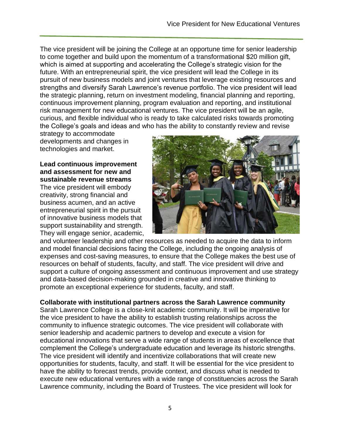The vice president will be joining the College at an opportune time for senior leadership to come together and build upon the momentum of a transformational \$20 million gift, which is aimed at supporting and accelerating the College's strategic vision for the future. With an entrepreneurial spirit, the vice president will lead the College in its pursuit of new business models and joint ventures that leverage existing resources and strengths and diversify Sarah Lawrence's revenue portfolio. The vice president will lead the strategic planning, return on investment modeling, financial planning and reporting, continuous improvement planning, program evaluation and reporting, and institutional risk management for new educational ventures. The vice president will be an agile, curious, and flexible individual who is ready to take calculated risks towards promoting the College's goals and ideas and who has the ability to constantly review and revise

strategy to accommodate developments and changes in technologies and market.

**Lead continuous improvement and assessment for new and sustainable revenue streams**

The vice president will embody creativity, strong financial and business acumen, and an active entrepreneurial spirit in the pursuit of innovative business models that support sustainability and strength. They will engage senior, academic,



and volunteer leadership and other resources as needed to acquire the data to inform and model financial decisions facing the College, including the ongoing analysis of expenses and cost-saving measures, to ensure that the College makes the best use of resources on behalf of students, faculty, and staff. The vice president will drive and support a culture of ongoing assessment and continuous improvement and use strategy and data-based decision-making grounded in creative and innovative thinking to promote an exceptional experience for students, faculty, and staff.

#### **Collaborate with institutional partners across the Sarah Lawrence community**

Sarah Lawrence College is a close-knit academic community. It will be imperative for the vice president to have the ability to establish trusting relationships across the community to influence strategic outcomes. The vice president will collaborate with senior leadership and academic partners to develop and execute a vision for educational innovations that serve a wide range of students in areas of excellence that complement the College's undergraduate education and leverage its historic strengths. The vice president will identify and incentivize collaborations that will create new opportunities for students, faculty, and staff. It will be essential for the vice president to have the ability to forecast trends, provide context, and discuss what is needed to execute new educational ventures with a wide range of constituencies across the Sarah Lawrence community, including the Board of Trustees. The vice president will look for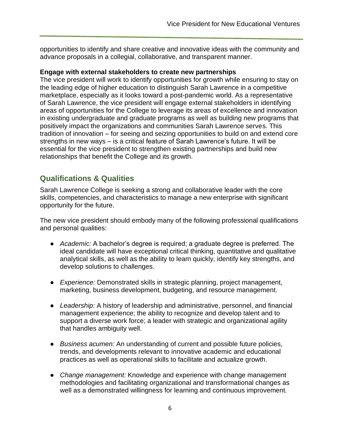opportunities to identify and share creative and innovative ideas with the community and advance proposals in a collegial, collaborative, and transparent manner.

#### **Engage with external stakeholders to create new partnerships**

The vice president will work to identify opportunities for growth while ensuring to stay on the leading edge of higher education to distinguish Sarah Lawrence in a competitive marketplace, especially as it looks toward a post-pandemic world. As a representative of Sarah Lawrence, the vice president will engage external stakeholders in identifying areas of opportunities for the College to leverage its areas of excellence and innovation in existing undergraduate and graduate programs as well as building new programs that positively impact the organizations and communities Sarah Lawrence serves. This tradition of innovation – for seeing and seizing opportunities to build on and extend core strengths in new ways – is a critical feature of Sarah Lawrence's future. It will be essential for the vice president to strengthen existing partnerships and build new relationships that benefit the College and its growth.

## <span id="page-5-0"></span>**Qualifications & Qualities**

Sarah Lawrence College is seeking a strong and collaborative leader with the core skills, competencies, and characteristics to manage a new enterprise with significant opportunity for the future.

The new vice president should embody many of the following professional qualifications and personal qualities:

- *Academic:* A bachelor's degree is required; a graduate degree is preferred. The ideal candidate will have exceptional critical thinking, quantitative and qualitative analytical skills, as well as the ability to learn quickly, identify key strengths, and develop solutions to challenges.
- *Experience:* Demonstrated skills in strategic planning, project management, marketing, business development, budgeting, and resource management.
- *Leadership:* A history of leadership and administrative, personnel, and financial management experience; the ability to recognize and develop talent and to support a diverse work force; a leader with strategic and organizational agility that handles ambiguity well.
- *Business acumen:* An understanding of current and possible future policies, trends, and developments relevant to innovative academic and educational practices as well as operational skills to facilitate and actualize growth.
- *Change management:* Knowledge and experience with change management methodologies and facilitating organizational and transformational changes as well as a demonstrated willingness for learning and continuous improvement.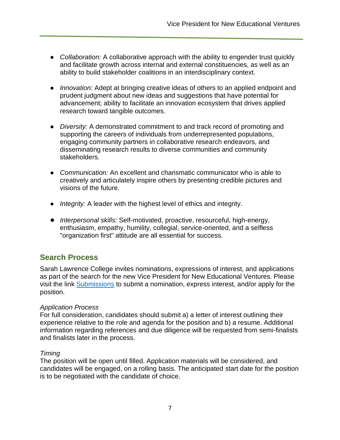- *Collaboration:* A collaborative approach with the ability to engender trust quickly and facilitate growth across internal and external constituencies, as well as an ability to build stakeholder coalitions in an interdisciplinary context.
- *Innovation:* Adept at bringing creative ideas of others to an applied endpoint and prudent judgment about new ideas and suggestions that have potential for advancement; ability to facilitate an innovation ecosystem that drives applied research toward tangible outcomes.
- *Diversity:* A demonstrated commitment to and track record of promoting and supporting the careers of individuals from underrepresented populations, engaging community partners in collaborative research endeavors, and disseminating research results to diverse communities and community stakeholders.
- *Communication:* An excellent and charismatic communicator who is able to creatively and articulately inspire others by presenting credible pictures and visions of the future.
- *Integrity:* A leader with the highest level of ethics and integrity.
- *Interpersonal skills:* Self-motivated, proactive, resourceful, high-energy, enthusiasm, empathy, humility, collegial, service-oriented, and a selfless "organization first" attitude are all essential for success.

## <span id="page-6-0"></span>**Search Process**

Sarah Lawrence College invites nominations, expressions of interest, and applications as part of the search for the new Vice President for New Educational Ventures. Please visit the link [Submissions](https://filerequestpro.com/up/slc-vp-nev) to submit a nomination, express interest, and/or apply for the position.

#### *Application Process*

For full consideration, candidates should submit a) a letter of interest outlining their experience relative to the role and agenda for the position and b) a resume. Additional information regarding references and due diligence will be requested from semi-finalists and finalists later in the process.

#### *Timing*

The position will be open until filled. Application materials will be considered, and candidates will be engaged, on a rolling basis. The anticipated start date for the position is to be negotiated with the candidate of choice.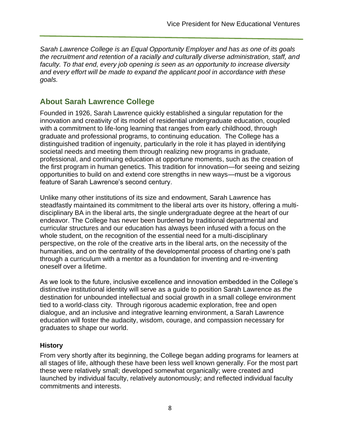*Sarah Lawrence College is an Equal Opportunity Employer and has as one of its goals the recruitment and retention of a racially and culturally diverse administration, staff, and faculty. To that end, every job opening is seen as an opportunity to increase diversity and every effort will be made to expand the applicant pool in accordance with these goals.*

## <span id="page-7-0"></span>**About Sarah Lawrence College**

Founded in 1926, Sarah Lawrence quickly established a singular reputation for the innovation and creativity of its model of residential undergraduate education, coupled with a commitment to life-long learning that ranges from early childhood, through graduate and professional programs, to continuing education. The College has a distinguished tradition of ingenuity, particularly in the role it has played in identifying societal needs and meeting them through realizing new programs in graduate, professional, and continuing education at opportune moments, such as the creation of the first program in human genetics. This tradition for innovation—for seeing and seizing opportunities to build on and extend core strengths in new ways—must be a vigorous feature of Sarah Lawrence's second century.

Unlike many other institutions of its size and endowment, Sarah Lawrence has steadfastly maintained its commitment to the liberal arts over its history, offering a multidisciplinary BA in the liberal arts, the single undergraduate degree at the heart of our endeavor. The College has never been burdened by traditional departmental and curricular structures and our education has always been infused with a focus on the whole student, on the recognition of the essential need for a multi-disciplinary perspective, on the role of the creative arts in the liberal arts, on the necessity of the humanities, and on the centrality of the developmental process of charting one's path through a curriculum with a mentor as a foundation for inventing and re-inventing oneself over a lifetime.

As we look to the future, inclusive excellence and innovation embedded in the College's distinctive institutional identity will serve as a guide to position Sarah Lawrence as *the* destination for unbounded intellectual and social growth in a small college environment tied to a world-class city. Through rigorous academic exploration, free and open dialogue, and an inclusive and integrative learning environment, a Sarah Lawrence education will foster the audacity, wisdom, courage, and compassion necessary for graduates to shape our world.

### <span id="page-7-1"></span>**History**

From very shortly after its beginning, the College began adding programs for learners at all stages of life, although these have been less well known generally. For the most part these were relatively small; developed somewhat organically; were created and launched by individual faculty, relatively autonomously; and reflected individual faculty commitments and interests.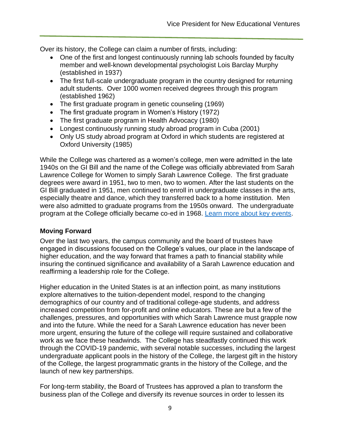Over its history, the College can claim a number of firsts, including:

- One of the first and longest continuously running lab schools founded by faculty member and well-known developmental psychologist Lois Barclay Murphy (established in 1937)
- The first full-scale undergraduate program in the country designed for returning adult students. Over 1000 women received degrees through this program (established 1962)
- The first graduate program in genetic counseling (1969)
- The first graduate program in Women's History (1972)
- The first graduate program in Health Advocacy (1980)
- Longest continuously running study abroad program in Cuba (2001)
- Only US study abroad program at Oxford in which students are registered at Oxford University (1985)

While the College was chartered as a women's college, men were admitted in the late 1940s on the GI Bill and the name of the College was officially abbreviated from Sarah Lawrence College for Women to simply Sarah Lawrence College. The first graduate degrees were award in 1951, two to men, two to women. After the last students on the GI Bill graduated in 1951, men continued to enroll in undergraduate classes in the arts, especially theatre and dance, which they transferred back to a home institution. Men were also admitted to graduate programs from the 1950s onward. The undergraduate program at the College officially became co-ed in 1968. [Learn more about key events.](https://www.sarahlawrence.edu/about/history/)

#### <span id="page-8-0"></span>**Moving Forward**

Over the last two years, the campus community and the board of trustees have engaged in discussions focused on the College's values, our place in the landscape of higher education, and the way forward that frames a path to financial stability while insuring the continued significance and availability of a Sarah Lawrence education and reaffirming a leadership role for the College.

Higher education in the United States is at an inflection point, as many institutions explore alternatives to the tuition-dependent model, respond to the changing demographics of our country and of traditional college-age students, and address increased competition from for-profit and online educators. These are but a few of the challenges, pressures, and opportunities with which Sarah Lawrence must grapple now and into the future. While the need for a Sarah Lawrence education has never been more urgent, ensuring the future of the college will require sustained and collaborative work as we face these headwinds. The College has steadfastly continued this work through the COVID-19 pandemic, with several notable successes, including the largest undergraduate applicant pools in the history of the College, the largest gift in the history of the College, the largest programmatic grants in the history of the College, and the launch of new key partnerships.

For long-term stability, the Board of Trustees has approved a plan to transform the business plan of the College and diversify its revenue sources in order to lessen its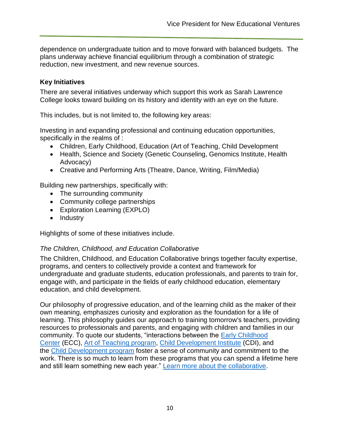dependence on undergraduate tuition and to move forward with balanced budgets. The plans underway achieve financial equilibrium through a combination of strategic reduction, new investment, and new revenue sources.

#### <span id="page-9-0"></span>**Key Initiatives**

There are several initiatives underway which support this work as Sarah Lawrence College looks toward building on its history and identity with an eye on the future.

This includes, but is not limited to, the following key areas:

Investing in and expanding professional and continuing education opportunities, specifically in the realms of :

- Children, Early Childhood, Education (Art of Teaching, Child Development
- Health, Science and Society (Genetic Counseling, Genomics Institute, Health Advocacy)
- Creative and Performing Arts (Theatre, Dance, Writing, Film/Media)

Building new partnerships, specifically with:

- The surrounding community
- Community college partnerships
- Exploration Learning (EXPLO)
- Industry

<span id="page-9-1"></span>Highlights of some of these initiatives include.

#### *The Children, Childhood, and Education Collaborative*

The Children, Childhood, and Education Collaborative brings together faculty expertise, programs, and centers to collectively provide a context and framework for undergraduate and graduate students, education professionals, and parents to train for, engage with, and participate in the fields of early childhood education, elementary education, and child development.

Our philosophy of progressive education, and of the learning child as the maker of their own meaning, emphasizes curiosity and exploration as the foundation for a life of learning. This philosophy guides our approach to training tomorrow's teachers, providing resources to professionals and parents, and engaging with children and families in our community. To quote our students, "interactions between the [Early Childhood](https://www.sarahlawrence.edu/collaborative/#ecc)  [Center](https://www.sarahlawrence.edu/collaborative/#ecc) (ECC), [Art of Teaching program,](https://www.sarahlawrence.edu/collaborative/#aot) [Child Development Institute](https://www.sarahlawrence.edu/collaborative/#cdi) (CDI), and the [Child Development program](https://www.sarahlawrence.edu/collaborative/#cdp) foster a sense of community and commitment to the work. There is so much to learn from these programs that you can spend a lifetime here and still learn something new each year." [Learn more about the collaborative.](https://www.sarahlawrence.edu/collaborative/)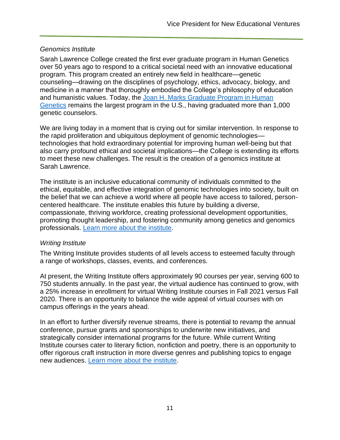#### <span id="page-10-0"></span>*Genomics Institute*

Sarah Lawrence College created the first ever graduate program in Human Genetics over 50 years ago to respond to a critical societal need with an innovative educational program. This program created an entirely new field in healthcare—genetic counseling—drawing on the disciplines of psychology, ethics, advocacy, biology, and medicine in a manner that thoroughly embodied the College's philosophy of education and humanistic values. Today, the [Joan H. Marks Graduate Program in Human](https://www.sarahlawrence.edu/genetic-counseling/)  [Genetics](https://www.sarahlawrence.edu/genetic-counseling/) remains the largest program in the U.S., having graduated more than 1,000 genetic counselors.

We are living today in a moment that is crying out for similar intervention. In response to the rapid proliferation and ubiquitous deployment of genomic technologies technologies that hold extraordinary potential for improving human well-being but that also carry profound ethical and societal implications—the College is extending its efforts to meet these new challenges. The result is the creation of a genomics institute at Sarah Lawrence.

The institute is an inclusive educational community of individuals committed to the ethical, equitable, and effective integration of genomic technologies into society, built on the belief that we can achieve a world where all people have access to tailored, personcentered healthcare. The institute enables this future by building a diverse, compassionate, thriving workforce, creating professional development opportunities, promoting thought leadership, and fostering community among genetics and genomics professionals. [Learn more about the institute.](https://www.sarahlawrence.edu/genomics-institute/)

#### <span id="page-10-1"></span>*Writing Institute*

The Writing Institute provides students of all levels access to esteemed faculty through a range of workshops, classes, events, and conferences.

At present, the Writing Institute offers approximately 90 courses per year, serving 600 to 750 students annually. In the past year, the virtual audience has continued to grow, with a 25% increase in enrollment for virtual Writing Institute courses in Fall 2021 versus Fall 2020. There is an opportunity to balance the wide appeal of virtual courses with on campus offerings in the years ahead.

In an effort to further diversify revenue streams, there is potential to revamp the annual conference, pursue grants and sponsorships to underwrite new initiatives, and strategically consider international programs for the future. While current Writing Institute courses cater to literary fiction, nonfiction and poetry, there is an opportunity to offer rigorous craft instruction in more diverse genres and publishing topics to engage new audiences. [Learn more about the institute.](https://www.sarahlawrence.edu/writing-institute/)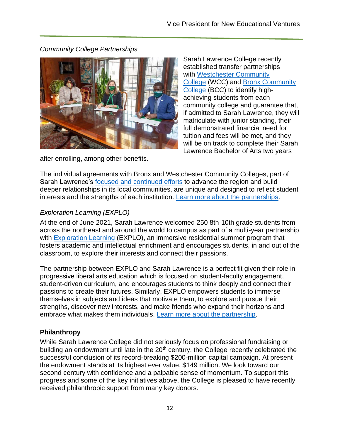<span id="page-11-0"></span>*Community College Partnerships*



after enrolling, among other benefits.

Sarah Lawrence College recently established transfer partnerships with [Westchester Community](https://www.sunywcc.edu/)  [College](https://www.sunywcc.edu/) (WCC) and [Bronx Community](https://www.bcc.cuny.edu/)  [College](https://www.bcc.cuny.edu/) (BCC) to identify highachieving students from each community college and guarantee that, if admitted to Sarah Lawrence, they will matriculate with junior standing, their full demonstrated financial need for tuition and fees will be met, and they will be on track to complete their Sarah Lawrence Bachelor of Arts two years

The individual agreements with Bronx and Westchester Community Colleges, part of Sarah Lawrence's [focused and continued efforts](https://www.sarahlawrence.edu/news-events/news/2019-09-26-sarah-lawrence-awarded-1.2-million-mellon-foundation-grant-to-advance-civic-engagement-in-westchester-county-nr.html) to advance the region and build deeper relationships in its local communities, are unique and designed to reflect student interests and the strengths of each institution. [Learn more about the partnerships.](https://www.sarahlawrence.edu/news-events/news/2021-03-10-sarah-lawrence-college-partners-with-bronx-and-westchester-community-colleges-to-establish-transfer-pipeline-fs.html)

## <span id="page-11-1"></span>*Exploration Learning (EXPLO)*

At the end of June 2021, Sarah Lawrence welcomed 250 8th-10th grade students from across the northeast and around the world to campus as part of a multi-year partnership with [Exploration Learning](https://explo.org/students-families/on-campus-programs/grades8-10/) (EXPLO), an immersive residential summer program that fosters academic and intellectual enrichment and encourages students, in and out of the classroom, to explore their interests and connect their passions.

The partnership between EXPLO and Sarah Lawrence is a perfect fit given their role in progressive liberal arts education which is focused on student-faculty engagement, student-driven curriculum, and encourages students to think deeply and connect their passions to create their futures. Similarly, EXPLO empowers students to immerse themselves in subjects and ideas that motivate them, to explore and pursue their strengths, discover new interests, and make friends who expand their horizons and embrace what makes them individuals. [Learn more about the partnership.](https://www.sarahlawrence.edu/news-events/news/2021-07-01-sarah-lawrence-welcomes-explo-to-campus-for-summer-nb.html)

## <span id="page-11-2"></span>**Philanthropy**

While Sarah Lawrence College did not seriously focus on professional fundraising or building an endowment until late in the  $20<sup>th</sup>$  century, the College recently celebrated the successful conclusion of its record-breaking \$200-million capital campaign. At present the endowment stands at its highest ever value, \$149 million. We look toward our second century with confidence and a palpable sense of momentum. To support this progress and some of the key initiatives above, the College is pleased to have recently received philanthropic support from many key donors.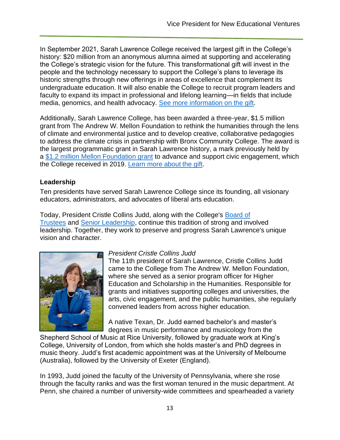In September 2021, Sarah Lawrence College received the largest gift in the College's history: \$20 million from an anonymous alumna aimed at supporting and accelerating the College's strategic vision for the future. This transformational gift will invest in the people and the technology necessary to support the College's plans to leverage its historic strengths through new offerings in areas of excellence that complement its undergraduate education. It will also enable the College to recruit program leaders and faculty to expand its impact in professional and lifelong learning—in fields that include media, genomics, and health advocacy. [See more information on the gift.](https://www.sarahlawrence.edu/news-events/news/2021-09-22-sarah-lawrence-college-receives-20-million-gift-to-launch-vision-for-second-century-anc.html)

Additionally, Sarah Lawrence College, has been awarded a three-year, \$1.5 million grant from The Andrew W. Mellon Foundation to rethink the humanities through the lens of climate and environmental justice and to develop creative, collaborative pedagogies to address the climate crisis in partnership with Bronx Community College. The award is the largest programmatic grant in Sarah Lawrence history, a mark previously held by a [\\$1.2 million Mellon Foundation grant](https://www.sarahlawrence.edu/news-events/news/2019-09-26-sarah-lawrence-awarded-1.2-million-mellon-foundation-grant-to-advance-civic-engagement-in-westchester-county-nr.html) to advance and support civic engagement, which the College received in 2019. [Learn more about the gift.](https://www.sarahlawrence.edu/news-events/news/2022-01-26-sarah-lawrence-college-awarded-1.5-million-mellon-foundation-grant-nr.html)

### <span id="page-12-0"></span>**Leadership**

Ten presidents have served Sarah Lawrence College since its founding, all visionary educators, administrators, and advocates of liberal arts education.

Today, President Cristle Collins Judd, along with the College's [Board of](https://www.sarahlawrence.edu/about/leadership/trustees.html)  [Trustees](https://www.sarahlawrence.edu/about/leadership/trustees.html) and [Senior Leadership,](https://www.sarahlawrence.edu/about/leadership/leadership.html) continue this tradition of strong and involved leadership. Together, they work to preserve and progress Sarah Lawrence's unique vision and character.



### *President Cristle Collins Judd*

The 11th president of Sarah Lawrence, Cristle Collins Judd came to the College from The Andrew W. Mellon Foundation, where she served as a senior program officer for Higher Education and Scholarship in the Humanities. Responsible for grants and initiatives supporting colleges and universities, the arts, civic engagement, and the public humanities, she regularly convened leaders from across higher education.

A native Texan, Dr. Judd earned bachelor's and master's degrees in music performance and musicology from the

Shepherd School of Music at Rice University, followed by graduate work at King's College, University of London, from which she holds master's and PhD degrees in music theory. Judd's first academic appointment was at the University of Melbourne (Australia), followed by the University of Exeter (England).

In 1993, Judd joined the faculty of the University of Pennsylvania, where she rose through the faculty ranks and was the first woman tenured in the music department. At Penn, she chaired a number of university-wide committees and spearheaded a variety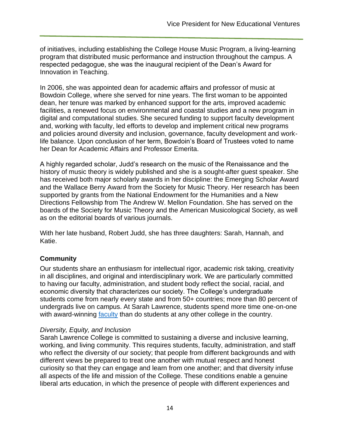of initiatives, including establishing the College House Music Program, a living-learning program that distributed music performance and instruction throughout the campus. A respected pedagogue, she was the inaugural recipient of the Dean's Award for Innovation in Teaching.

In 2006, she was appointed dean for academic affairs and professor of music at Bowdoin College, where she served for nine years. The first woman to be appointed dean, her tenure was marked by enhanced support for the arts, improved academic facilities, a renewed focus on environmental and coastal studies and a new program in digital and computational studies. She secured funding to support faculty development and, working with faculty, led efforts to develop and implement critical new programs and policies around diversity and inclusion, governance, faculty development and worklife balance. Upon conclusion of her term, Bowdoin's Board of Trustees voted to name her Dean for Academic Affairs and Professor Emerita.

A highly regarded scholar, Judd's research on the music of the Renaissance and the history of music theory is widely published and she is a sought-after guest speaker. She has received both major scholarly awards in her discipline: the Emerging Scholar Award and the Wallace Berry Award from the Society for Music Theory. Her research has been supported by grants from the National Endowment for the Humanities and a New Directions Fellowship from The Andrew W. Mellon Foundation. She has served on the boards of the Society for Music Theory and the American Musicological Society, as well as on the editorial boards of various journals.

With her late husband, Robert Judd, she has three daughters: Sarah, Hannah, and Katie.

### <span id="page-13-0"></span>**Community**

Our students share an enthusiasm for intellectual rigor, academic risk taking, creativity in all disciplines, and original and interdisciplinary work. We are particularly committed to having our faculty, administration, and student body reflect the social, racial, and economic diversity that characterizes our society. The College's undergraduate students come from nearly every state and from 50+ countries; more than 80 percent of undergrads live on campus. At Sarah Lawrence, students spend more time one-on-one with award-winning [faculty](https://www.sarahlawrence.edu/faculty/index.html) than do students at any other college in the country.

#### *Diversity, Equity, and Inclusion*

Sarah Lawrence College is committed to sustaining a diverse and inclusive learning, working, and living community. This requires students, faculty, administration, and staff who reflect the diversity of our society; that people from different backgrounds and with different views be prepared to treat one another with mutual respect and honest curiosity so that they can engage and learn from one another; and that diversity infuse all aspects of the life and mission of the College. These conditions enable a genuine liberal arts education, in which the presence of people with different experiences and